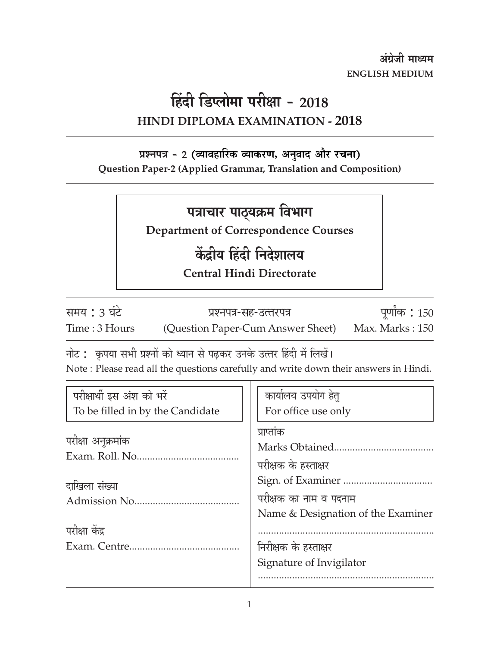अंग्रेजी माध्यम **ENGLISH MEDIUM** 

## हिंदी डिप्लोमा परीक्षा - 2018 HINDI DIPLOMA EXAMINATION - 2018

### प्रश्नपत्र - 2 (व्यावहारिक व्याकरण, अनुवाद और रचना)

Question Paper-2 (Applied Grammar, Translation and Composition)

### पत्राचार पाठ्यक्रम विभाग

**Department of Correspondence Courses** 

# केंद्रीय हिंदी निदेशालय

**Central Hindi Directorate** 

समय : 3 घंटे Time: 3 Hours

प्रश्नपत्र-सह-उत्तरपत्र (Question Paper-Cum Answer Sheet)

पूर्णांक: 150 Max. Marks: 150

नोट : कृपया सभी प्रश्नों को ध्यान से पढ़कर उनके उत्तर हिंदी में लिखें।

Note: Please read all the questions carefully and write down their answers in Hindi.

| परीक्षार्थी इस अंश को भरें       | कार्यालय उपयोग हेत्                |  |  |  |
|----------------------------------|------------------------------------|--|--|--|
| To be filled in by the Candidate | For office use only                |  |  |  |
|                                  | प्राप्तांक                         |  |  |  |
| परीक्षा अनुक्रमांक               |                                    |  |  |  |
|                                  | परीक्षक के हस्ताक्षर               |  |  |  |
| दाखिला संख्या                    |                                    |  |  |  |
|                                  | परीक्षक का नाम व पदनाम             |  |  |  |
|                                  | Name & Designation of the Examiner |  |  |  |
| परीक्षा केंद्र                   |                                    |  |  |  |
|                                  | निरीक्षक के हस्ताक्षर              |  |  |  |
|                                  | Signature of Invigilator           |  |  |  |
|                                  |                                    |  |  |  |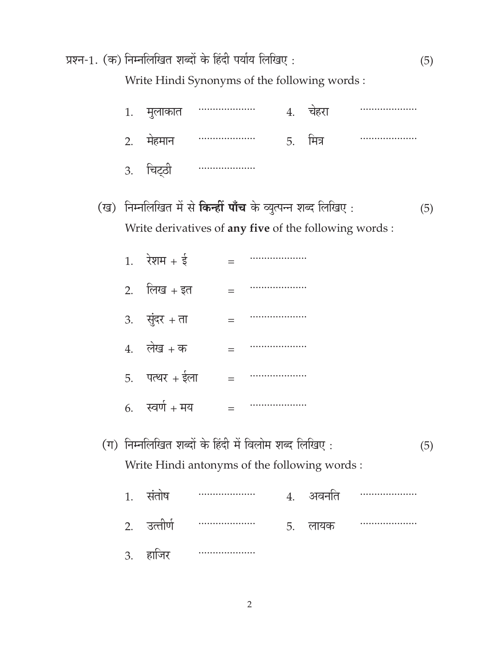|     | प्रश्न-1. (क) निम्नलिखित शब्दों के हिंदी पर्याय लिखिए : |                                                                                                                    |     |                      |    |          | (5) |     |
|-----|---------------------------------------------------------|--------------------------------------------------------------------------------------------------------------------|-----|----------------------|----|----------|-----|-----|
|     | Write Hindi Synonyms of the following words:            |                                                                                                                    |     |                      |    |          |     |     |
|     | 1.                                                      | मुलाकात                                                                                                            |     |                      |    | 4. चेहरा |     |     |
|     | 2.                                                      | मेहमान                                                                                                             |     |                      | 5. | मित्र    |     |     |
|     |                                                         | 3. चिट्ठी                                                                                                          |     |                      |    |          |     |     |
| (ख) |                                                         | निम्नलिखित में से किन्हीं पाँच के व्युत्पन्न शब्द लिखिए:<br>Write derivatives of any five of the following words : |     |                      |    |          |     | (5) |
|     |                                                         | 1. रेशम + ई                                                                                                        | $=$ |                      |    |          |     |     |
|     |                                                         | 2. लिख + इत                                                                                                        | $=$ | ******************** |    |          |     |     |
|     |                                                         | $3.$ सुंदर + ता                                                                                                    | $=$ |                      |    |          |     |     |
|     |                                                         | $4.$ लेख + क                                                                                                       | $=$ |                      |    |          |     |     |
|     |                                                         | 5. पत्थर + ईला                                                                                                     | $=$ |                      |    |          |     |     |
|     |                                                         | 6. स्वर्ण + मय                                                                                                     | $=$ |                      |    |          |     |     |
|     |                                                         | (ग) निम्नलिखित शब्दों के हिंदी में विलोम शब्द लिखिए :<br>Write Hindi antonyms of the following words:              |     |                      |    |          |     | (5) |
|     |                                                         | 1. संतोष                                                                                                           |     |                      | 4. | अवर्नात  |     |     |
|     | 2.                                                      | उत्तीर्ण                                                                                                           |     |                      | 5. | लायक     | .   |     |
|     |                                                         | 3. हाजिर                                                                                                           |     |                      |    |          |     |     |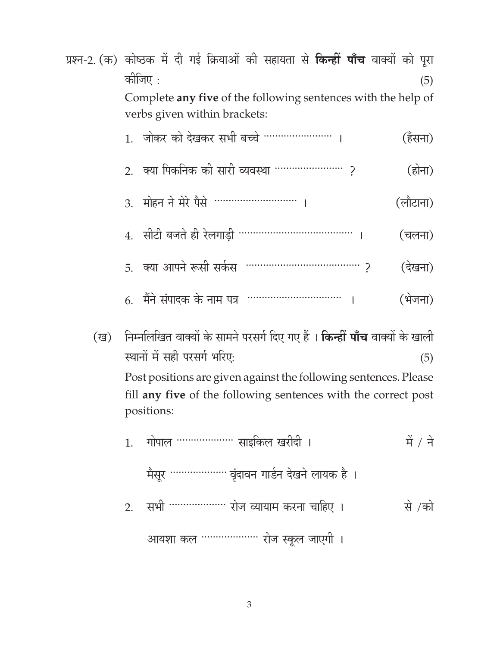| प्रश्न-2. (क) कोष्ठक में दी गई क्रियाओं की सहायता से <b>किन्हीं पाँच</b> वाक्यों को पूरा |         |                                                                                               |  |  |  |  |          |         |
|------------------------------------------------------------------------------------------|---------|-----------------------------------------------------------------------------------------------|--|--|--|--|----------|---------|
|                                                                                          | कोजिए : |                                                                                               |  |  |  |  |          | (5)     |
|                                                                                          |         | Complete any five of the following sentences with the help of<br>verbs given within brackets: |  |  |  |  |          |         |
|                                                                                          |         | 1. जोकर को देखकर सभी बच्चे …………………… ।                                                         |  |  |  |  |          | (हॅसना) |
|                                                                                          |         |                                                                                               |  |  |  |  |          | (होना)  |
|                                                                                          |         | 3. मोहन ने मेरे पैसे ………………………. ।                                                             |  |  |  |  | (लौटाना) |         |
|                                                                                          |         | 4. सीटी बजते ही रेलगाड़ी …………………………………                                                        |  |  |  |  | (चलना)   |         |
|                                                                                          |         |                                                                                               |  |  |  |  |          | दखना)   |
|                                                                                          |         |                                                                                               |  |  |  |  |          |         |

- $(\hat{4}$ जना)
- निम्नलिखित वाक्यों के सामने परसर्ग दिए गए हैं । **किन्हीं पाँच** वाक्यों के खाली (ख) स्थानों में सही परसर्ग भरिए:  $(5)$

Post positions are given against the following sentences. Please fill any five of the following sentences with the correct post positions: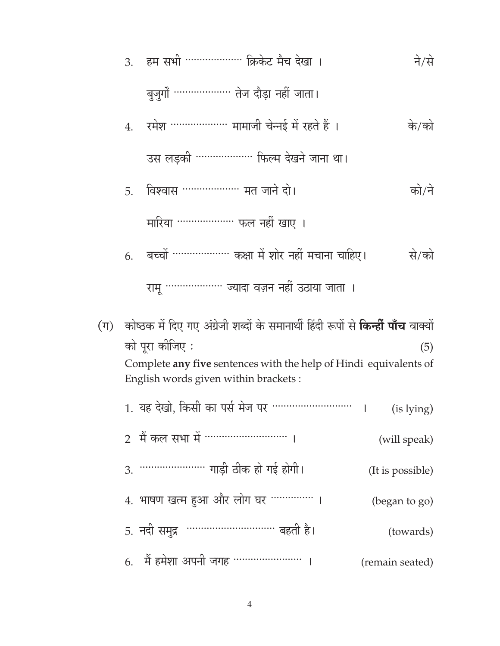हम सभी ……………… क्रिकेट मैच देखा । ने/से  $\mathcal{E}$ 

बुजुर्गों ……………… तेज दौड़ा नहीं जाता।

रमेश ……………… मामाजी चेन्नई में रहते हैं । के/को  $\overline{4}$ .

उस लड़की ……………… फिल्म देखने जाना था।

विश्वास ……………… मत जाने दो। को/ने 5.

मारिया ……………… फल नहीं खाए ।

बच्चों ……………… कक्षा में शोर नहीं मचाना चाहिए। से/को 6.

रामू ……………… ज्यादा वज़न नहीं उठाया जाता ।

(ग) कोष्ठक में दिए गए अंग्रेजी शब्दों के समानार्थी हिंदी रूपों से **किन्हीं पाँच** वाक्यों को पूरा कीजिए :  $(5)$ Complete any five sentences with the help of Hindi equivalents of English words given within brackets:

| 1. यह देखो, किसी का पर्स मेज पर ………………………. । | (is lying)       |
|----------------------------------------------|------------------|
| 2 मैं कल सभा में ………………………                   | (will speak)     |
|                                              | (It is possible) |
| 4. भाषण खत्म हुआ और लोग घर ………… ।            | (began to go)    |
| 5. नदी समुद्र                                | (towards)        |
| 6. मैं हमेशा अपनी जगह …………………                | (remain seated)  |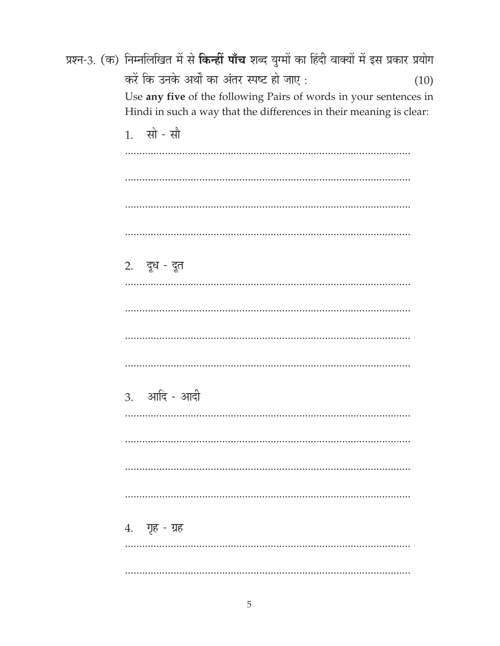|  | प्रश्न-3. (क) निम्नलिखित में से <b>किन्हीं पाँच</b> शब्द युग्मों का हिंदी वाक्यों में इस प्रकार प्रयोग                                   |      |
|--|------------------------------------------------------------------------------------------------------------------------------------------|------|
|  | करें कि उनके अर्थों का अंतर स्पष्ट हो जाए :                                                                                              | (10) |
|  | Use any five of the following Pairs of words in your sentences in<br>Hindi in such a way that the differences in their meaning is clear: |      |
|  | 1. सो - सौ                                                                                                                               |      |
|  |                                                                                                                                          |      |
|  |                                                                                                                                          |      |
|  |                                                                                                                                          |      |
|  |                                                                                                                                          |      |
|  | 2. दूध - दूत                                                                                                                             |      |
|  |                                                                                                                                          |      |
|  |                                                                                                                                          |      |
|  |                                                                                                                                          |      |
|  |                                                                                                                                          |      |
|  | 3. आदि - आदी                                                                                                                             |      |
|  |                                                                                                                                          |      |
|  |                                                                                                                                          |      |
|  |                                                                                                                                          |      |
|  |                                                                                                                                          |      |
|  | 4. गृह - ग्रह                                                                                                                            |      |
|  |                                                                                                                                          |      |
|  |                                                                                                                                          |      |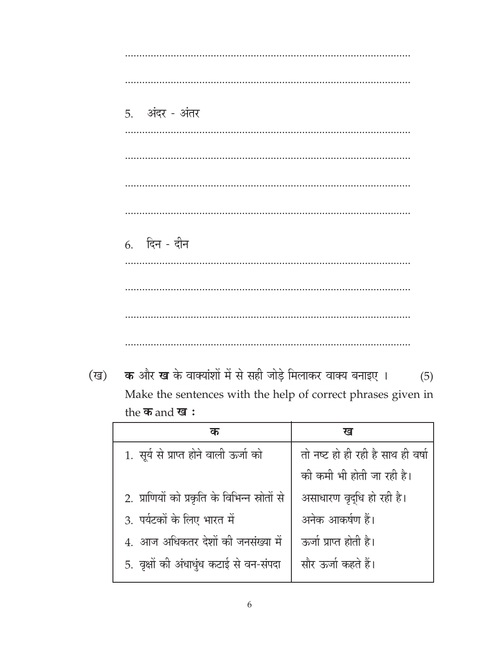5. अंदर - अंतर 6. दिन - दीन 

क और ख के वाक्यांशों में से सही जोड़े मिलाकर वाक्य बनाइए । (ख)  $(5)$ Make the sentences with the help of correct phrases given in the कand ख:

|                                               | ख                                 |
|-----------------------------------------------|-----------------------------------|
| 1. सूर्य से प्राप्त होने वाली ऊर्जा को        | तो नष्ट हो ही रही है साथ ही वर्षा |
|                                               | की कमी भी होती जा रही है।         |
| 2. प्राणियों को प्रकृति के विभिन्न स्रोतों से | असाधारण वृद्धि हो रही है।         |
| 3. पर्यटकों के लिए भारत में                   | अनेक आकर्षण हैं।                  |
| 4. आज अधिकतर देशों की जनसंख्या में            | ऊर्जा प्राप्त होती है।            |
| 5. वृक्षों की अंधाधुंध कटाई से वन-संपदा       | सौर ऊर्जा कहते हैं।               |
|                                               |                                   |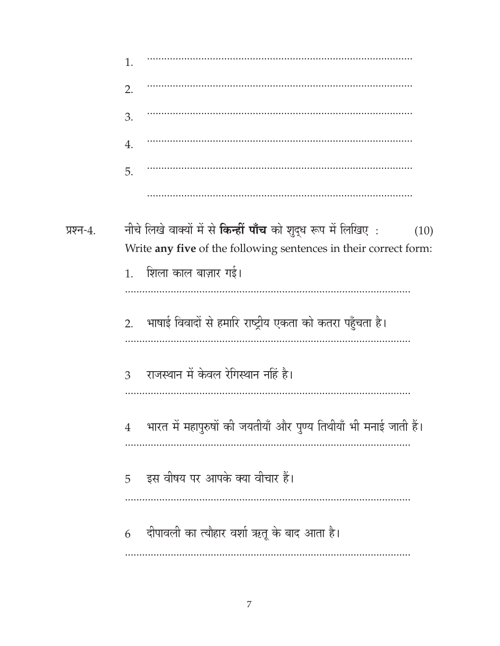|           | 1.             |                                                                                                                                                   |
|-----------|----------------|---------------------------------------------------------------------------------------------------------------------------------------------------|
|           | 2.             |                                                                                                                                                   |
|           | 3.             |                                                                                                                                                   |
|           | 4.             |                                                                                                                                                   |
|           | 5.             |                                                                                                                                                   |
|           |                |                                                                                                                                                   |
| प्रश्न-4. |                | नीचे लिखे वाक्यों में से <b>किन्हीं पाँच</b> को शुद्ध रूप में लिखिए :<br>(10)<br>Write any five of the following sentences in their correct form: |
|           | 1 <sub>1</sub> | शिला काल बाज़ार गई।                                                                                                                               |
|           |                |                                                                                                                                                   |
|           | 2.             | भाषाई विवादों से हमारि राष्ट्रीय एकता को कतरा पहुँचता है।                                                                                         |
|           | 3              | राजस्थान में केवल रेगिस्थान नहिं है।                                                                                                              |
|           | $\overline{4}$ | भारत में महापुरुषों की जयतीयाँ और पुण्य तिथीयाँ भी मनाई जाती हैं।                                                                                 |
|           | 5              | इस वीषय पर आपके क्या वीचार हैं।                                                                                                                   |
|           | 6              | दीपावली का त्यौहार वर्शा ऋतू के बाद आता है।                                                                                                       |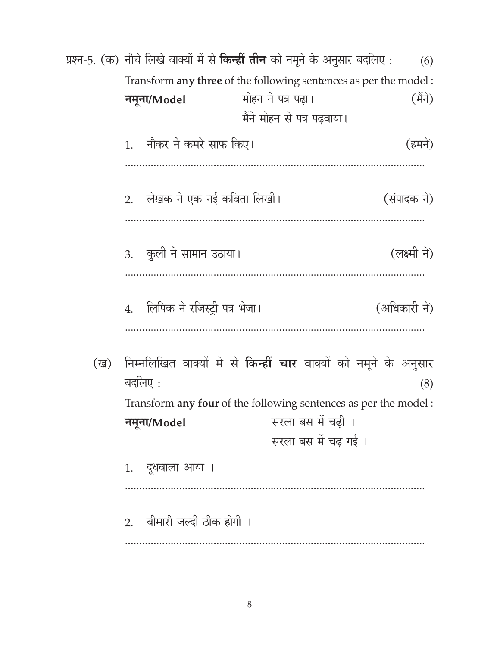प्रश्न-5. (क) नीचे लिखे वाक्यों में से किन्हीं तीन को नमूने के अनुसार बदलिए:  $(6)$ Transform any three of the following sentences as per the model: मोहन ने पत्र पढ़ा। (मैंने) नमृना/Model मैंने मोहन से पत्र पढवाया। 1. नौकर ने कमरे साफ किए। (हमने) लेखक ने एक नई कविता लिखी। (संपादक ने)  $2<sup>1</sup>$ 3. कुली ने सामान उठाया। (लक्ष्मी ने) 4. लिपिक ने रजिस्ट्री पत्र भेजा। (अधिकारी ने) - निम्नलिखित वाक्यों में से **किन्हीं चार** वाक्यों को नमूने के अनुसार (ख) बदलिए $\,$  :  $(8)$ Transform any four of the following sentences as per the model: सरला बस में चढी । नमूना/Model सरला बस में चढ़ गई। दूधवाला आया । 1. 2. बीमारी जल्दी ठीक होगी ।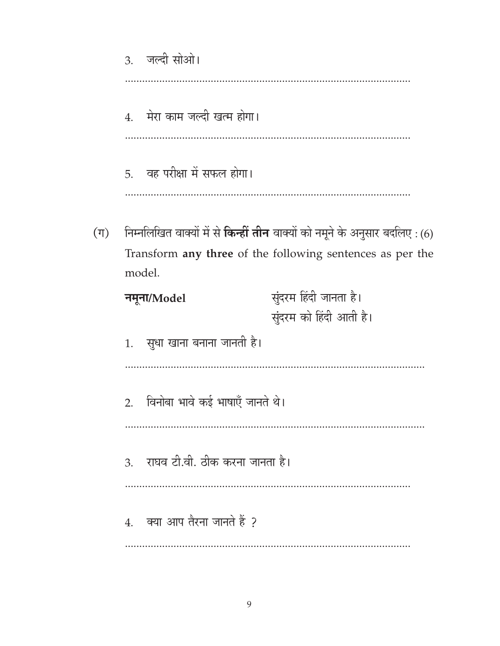3. जल्दी सोओ। मेरा काम जल्दी खत्म होगा।  $\overline{4}$ . 5. वह परीक्षा में सफल होगा। निम्नलिखित वाक्यों में से **किन्हीं तीन** वाक्यों को नमूने के अनुसार बदलिए : (6) Transform any three of the following sentences as per the model. सुंदरम हिंदी जानता है। नमूना/Model सुंदरम को हिंदी आती है। 1. सुधा खाना बनाना जानती है। 2. विनोबा भावे कई भाषाएँ जानते थे। राघव टी.वी. ठीक करना जानता है।  $\overline{3}$ .  $4.$  क्या आप तैरना जानते हैं ? 

 $(\mathbb{T})$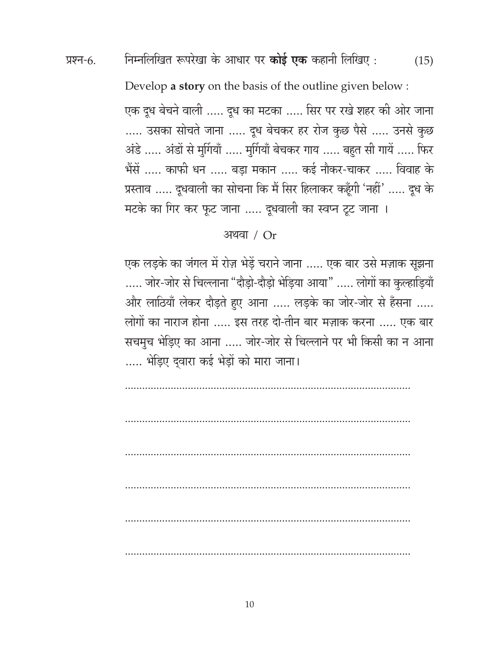निम्नलिखित रूपरेखा के आधार पर **कोई एक** कहानी लिखिए : प्रश्न-6.  $(15)$ 

Develop a story on the basis of the outline given below :

एक दूध बेचने वाली ..... दूध का मटका ..... सिर पर रखे शहर की ओर जाना ..... उसका सोचते जाना ..... दूध बेचकर हर रोज कुछ पैसे ..... उनसे कुछ अंडे ..... अंडों से मूर्गियाँ ..... मूर्गियाँ बेचकर गाय ..... बहुत सी गायें ..... फिर भैंसें ..... काफी धन ..... बड़ा मकान ..... कई नौकर-चाकर ..... विवाह के प्रस्ताव ..... दुधवाली का सोचना कि मैं सिर हिलाकर कहूँगी 'नहीं' ..... दुध के मटके का गिर कर फूट जाना ..... दूधवाली का स्वप्न टूट जाना ।

#### अथवा $/$  Or

एक लड़के का जंगल में रोज़ भेड़ें चराने जाना ..... एक बार उसे मज़ाक सूझना ..... जोर-जोर से चिल्लाना "दौड़ो-दौड़ो भेड़िया आया" ..... लोगों का कुल्हाड़ियाँ और लाठियाँ लेकर दौड़ते हुए आना ..... लड़के का जोर-जोर से हँसना ..... लोगों का नाराज होना ..... इस तरह दो-तीन बार मज़ाक करना ..... एक बार सचमुच भेड़िए का आना ..... जोर-जोर से चिल्लाने पर भी किसी का न आना ..... भेड़िए द्वारा कई भेड़ों को मारा जाना।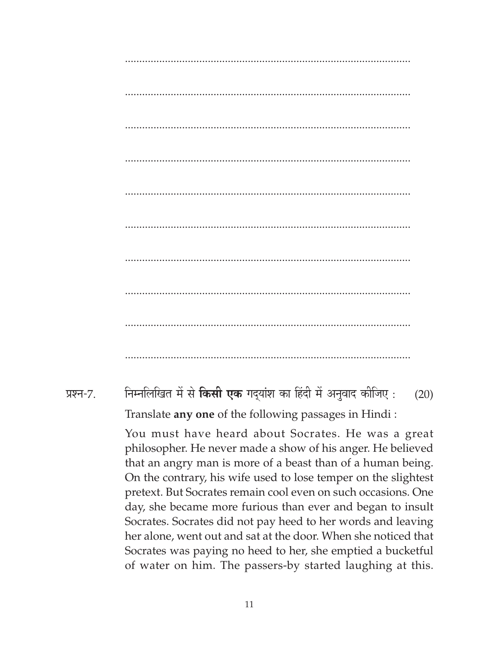.................................................................................................... .................................................................................................... .................................................................................................... .................................................................................................... .................................................................................................... .................................................................................................... .................................................................................................... .................................................................................................... .................................................................................................... .................................................................................................... प्रश्न-7. निम्नलिखित में से **किसी एक** गद्यांश का हिंदी में अनुवाद कीजिए : (20) Translate **any one** of the following passages in Hindi : You must have heard about Socrates. He was a great philosopher. He never made a show of his anger. He believed that an angry man is more of a beast than of a human being. On the contrary, his wife used to lose temper on the slightest pretext. But Socrates remain cool even on such occasions. One day, she became more furious than ever and began to insult Socrates. Socrates did not pay heed to her words and leaving her alone, went out and sat at the door. When she noticed that Socrates was paying no heed to her, she emptied a bucketful of water on him. The passers-by started laughing at this.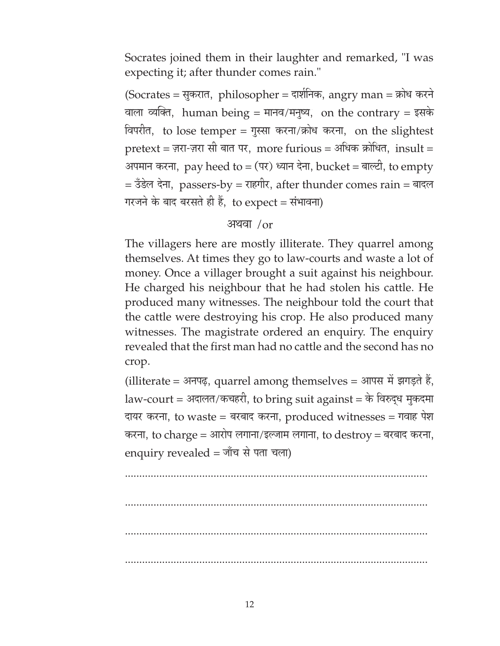Socrates joined them in their laughter and remarked, "I was expecting it; after thunder comes rain."

 $(Socrates =$ सूकरात, philosopher = दार्शनिक, angry man = क्रोध करने वाला व्यक्ति, human being = मानव/मनुष्य, on the contrary = इसके विपरीत, to lose temper = गुस्सा करना/क्रोध करना, on the slightest  $pretext = \overline{z}$ गरा-ज़रा सी बात पर, more furious = अधिक क्रोधित, insult = अपमान करना, pay heed to = (पर) ध्यान देना, bucket = बाल्टी, to empty  $=$  उँडेल देना, passers-by = राहगीर, after thunder comes rain = बादल गरजने के बाद बरसते ही हैं, to  $expect =$  संभावना)

#### $3$ यवा $/$ or

The villagers here are mostly illiterate. They quarrel among themselves. At times they go to law-courts and waste a lot of money. Once a villager brought a suit against his neighbour. He charged his neighbour that he had stolen his cattle. He produced many witnesses. The neighbour told the court that the cattle were destroying his crop. He also produced many witnesses. The magistrate ordered an enquiry. The enquiry revealed that the first man had no cattle and the second has no crop.

(illiterate = अनपढ़, quarrel among themselves = आपस में झगड़ते हैं, law-court = अदालत/कचहरी, to bring suit against = के विरुद्ध मुकदमा दायर करना, to waste = बरबाद करना, produced witnesses = गवाह पेश करना, to charge = आरोप लगाना/इल्जाम लगाना, to destroy = बरबाद करना, enquiry revealed = जाँच से पता चला)

.......................................................................................................... .......................................................................................................... ..........................................................................................................

..........................................................................................................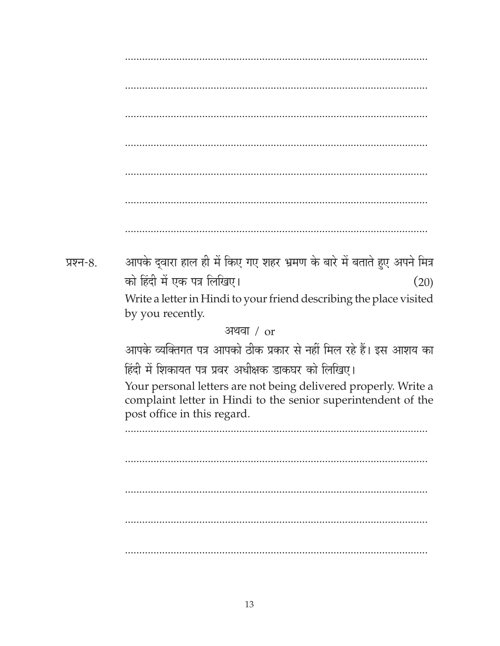आपके द्वारा हाल ही में किए गए शहर भ्रमण के बारे में बताते हुए अपने मित्र प्रश्न-8. को हिंदी में एक पत्र लिखिए।  $(20)$ Write a letter in Hindi to your friend describing the place visited by you recently. अथवा $/$  or आपके व्यक्तिगत पत्र आपको ठीक प्रकार से नहीं मिल रहे हैं। इस आशय का हिंदी में शिकायत पत्र प्रवर अधीक्षक डाकघर को लिखिए। Your personal letters are not being delivered properly. Write a complaint letter in Hindi to the senior superintendent of the post office in this regard.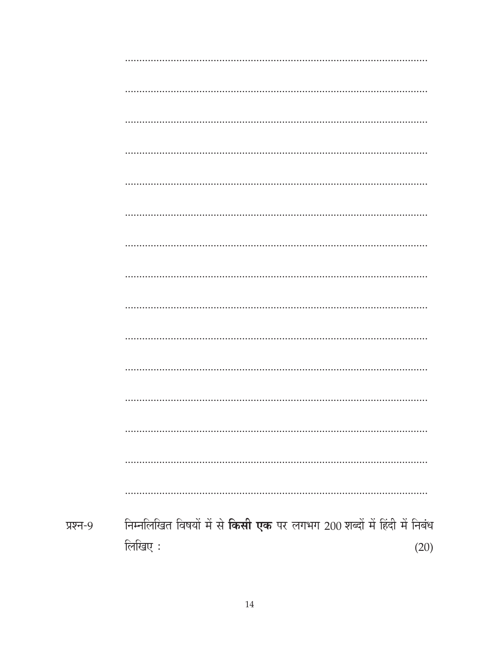| प्रश्न-9 | निम्नलिखित विषयों में से किसी एक पर लगभग 200 शब्दों में हिंदी में निबंध |      |
|----------|-------------------------------------------------------------------------|------|
|          | लिखिए:                                                                  | (20) |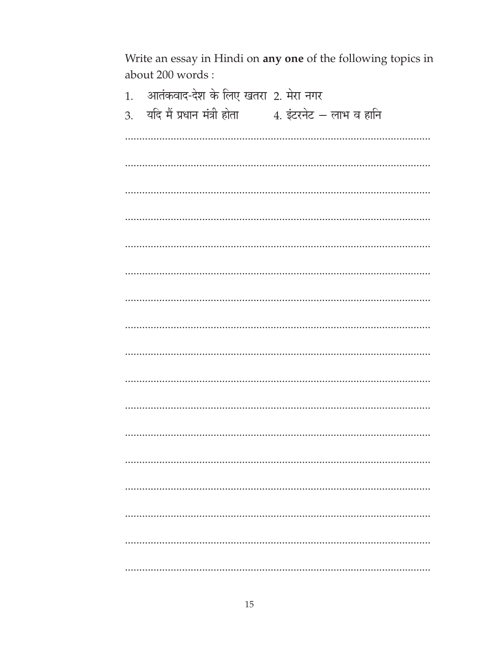Write an essay in Hindi on any one of the following topics in about 200 words:

| आतंकवाद-देश के लिए खतरा 2. मेरा नगर<br>1.                   |
|-------------------------------------------------------------|
| यदि मैं प्रधान मंत्री होता<br>4. इंटरनेट – लाभ व हानि<br>3. |
|                                                             |
|                                                             |
|                                                             |
|                                                             |
|                                                             |
|                                                             |
|                                                             |
|                                                             |
|                                                             |
|                                                             |
|                                                             |
|                                                             |
|                                                             |
|                                                             |
|                                                             |
|                                                             |
|                                                             |